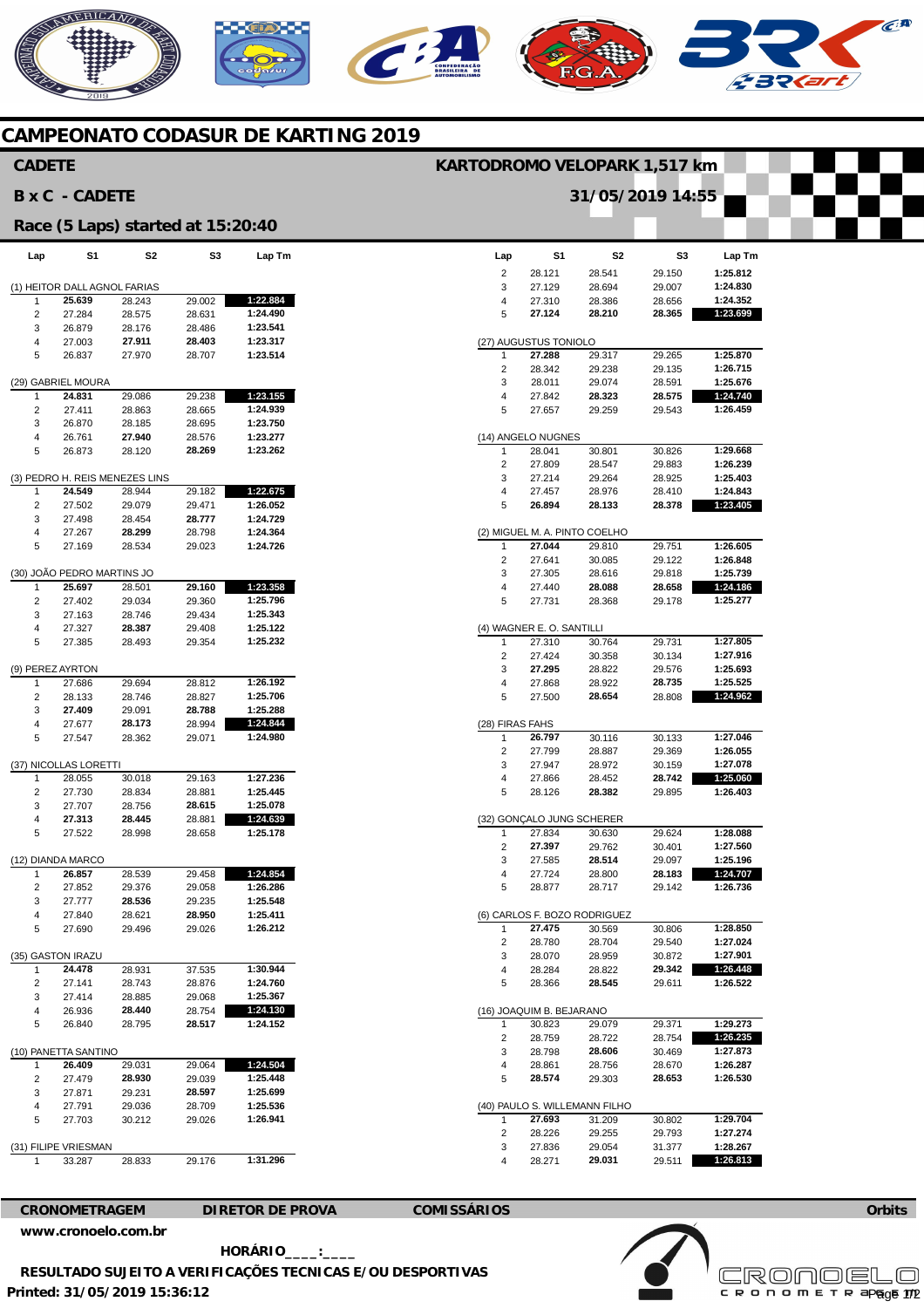## **CAMPEONATO CODASUR DE KARTING 2019**

C

**AERICANO** 

| <b>CADETE</b>                     |                                        |                                |                  |                         | KARTODROMO VELOPARK 1,517 km |                           |                               |                  |                      |
|-----------------------------------|----------------------------------------|--------------------------------|------------------|-------------------------|------------------------------|---------------------------|-------------------------------|------------------|----------------------|
|                                   | <b>BxC - CADETE</b>                    |                                |                  |                         |                              |                           | 31/05/2019 14:55              |                  |                      |
| Race (5 Laps) started at 15:20:40 |                                        |                                |                  |                         |                              |                           |                               |                  |                      |
| Lap                               | S1                                     | S <sub>2</sub>                 | S3               | Lap Tm                  | Lap                          | S1                        | S <sub>2</sub>                | S3               | Lap Tm               |
|                                   |                                        |                                |                  |                         | 2                            | 28.121                    | 28.541                        | 29.150           | 1:25.812             |
|                                   | (1) HEITOR DALL AGNOL FARIAS<br>25.639 |                                |                  | 1:22.884                | 3                            | 27.129                    | 28.694                        | 29.007           | 1:24.830<br>1:24.352 |
| $\mathbf{1}$<br>$\overline{c}$    | 27.284                                 | 28.243<br>28.575               | 29.002<br>28.631 | 1:24.490                | 4<br>5                       | 27.310<br>27.124          | 28.386<br>28.210              | 28.656<br>28.365 | 1:23.699             |
| 3                                 | 26.879                                 | 28.176                         | 28.486           | 1:23.541                |                              |                           |                               |                  |                      |
| 4                                 | 27.003                                 | 27.911                         | 28.403           | 1:23.317                |                              | (27) AUGUSTUS TONIOLO     |                               |                  |                      |
| 5                                 | 26.837                                 | 27.970                         | 28.707           | 1:23.514                | $\mathbf{1}$                 | 27.288                    | 29.317                        | 29.265           | 1:25.870             |
|                                   |                                        |                                |                  |                         | 2                            | 28.342                    | 29.238                        | 29.135           | 1:26.715             |
|                                   | (29) GABRIEL MOURA                     | 29.086                         |                  |                         | 3                            | 28.011                    | 29.074                        | 28.591           | 1:25.676             |
| 1<br>$\overline{c}$               | 24.831<br>27.411                       | 28.863                         | 29.238<br>28.665 | 1:23.155<br>1:24.939    | 4<br>5                       | 27.842<br>27.657          | 28.323<br>29.259              | 28.575<br>29.543 | 1:24.740<br>1:26.459 |
| 3                                 | 26.870                                 | 28.185                         | 28.695           | 1:23.750                |                              |                           |                               |                  |                      |
| 4                                 | 26.761                                 | 27.940                         | 28.576           | 1:23.277                |                              | (14) ANGELO NUGNES        |                               |                  |                      |
| 5                                 | 26.873                                 | 28.120                         | 28.269           | 1:23.262                | $\mathbf{1}$                 | 28.041                    | 30.801                        | 30.826           | 1:29.668             |
|                                   |                                        |                                |                  |                         | $\overline{2}$               | 27.809                    | 28.547                        | 29.883           | 1:26.239             |
| $\mathbf{1}$                      | 24.549                                 | (3) PEDRO H. REIS MENEZES LINS | 29.182           |                         | 3<br>4                       | 27.214                    | 29.264                        | 28.925           | 1:25.403             |
| $\sqrt{2}$                        | 27.502                                 | 28.944<br>29.079               | 29.471           | 1:22.675<br>1:26.052    | 5                            | 27.457<br>26.894          | 28.976<br>28.133              | 28.410<br>28.378 | 1:24.843<br>1:23.405 |
| 3                                 | 27.498                                 | 28.454                         | 28.777           | 1:24.729                |                              |                           |                               |                  |                      |
| 4                                 | 27.267                                 | 28.299                         | 28.798           | 1:24.364                |                              |                           | (2) MIGUEL M. A. PINTO COELHO |                  |                      |
| 5                                 | 27.169                                 | 28.534                         | 29.023           | 1:24.726                | $\mathbf{1}$                 | 27.044                    | 29.810                        | 29.751           | 1:26.605             |
|                                   |                                        |                                |                  |                         | $\overline{c}$               | 27.641                    | 30.085                        | 29.122           | 1:26.848             |
|                                   | (30) JOÃO PEDRO MARTINS JO<br>25.697   |                                |                  |                         | 3                            | 27.305                    | 28.616                        | 29.818           | 1:25.739<br>1:24.186 |
| 1<br>$\sqrt{2}$                   | 27.402                                 | 28.501<br>29.034               | 29.160<br>29.360 | 1:23.358<br>1:25.796    | 4<br>5                       | 27.440<br>27.731          | 28.088<br>28.368              | 28.658<br>29.178 | 1:25.277             |
| 3                                 | 27.163                                 | 28.746                         | 29.434           | 1:25.343                |                              |                           |                               |                  |                      |
| 4                                 | 27.327                                 | 28.387                         | 29.408           | 1:25.122                |                              | (4) WAGNER E. O. SANTILLI |                               |                  |                      |
| 5                                 | 27.385                                 | 28.493                         | 29.354           | 1:25.232                | 1                            | 27.310                    | 30.764                        | 29.731           | 1:27.805             |
|                                   |                                        |                                |                  |                         | 2                            | 27.424                    | 30.358                        | 30.134           | 1:27.916             |
|                                   | (9) PEREZ AYRTON                       |                                |                  |                         | 3                            | 27.295                    | 28.822                        | 29.576           | 1:25.693             |
| $\mathbf{1}$<br>2                 | 27.686<br>28.133                       | 29.694<br>28.746               | 28.812<br>28.827 | 1:26.192<br>1:25.706    | 4<br>5                       | 27.868<br>27.500          | 28.922<br>28.654              | 28.735<br>28.808 | 1:25.525<br>1:24.962 |
| 3                                 | 27.409                                 | 29.091                         | 28.788           | 1:25.288                |                              |                           |                               |                  |                      |
| $\overline{4}$                    | 27.677                                 | 28.173                         | 28.994           | 1:24.844                | (28) FIRAS FAHS              |                           |                               |                  |                      |
| 5                                 | 27.547                                 | 28.362                         | 29.071           | 1:24.980                | $\mathbf{1}$                 | 26.797                    | 30.116                        | 30.133           | 1:27.046             |
|                                   |                                        |                                |                  |                         | $\overline{c}$               | 27.799                    | 28.887                        | 29.369           | 1:26.055             |
|                                   | (37) NICOLLAS LORETTI                  |                                |                  |                         | 3                            | 27.947                    | 28.972                        | 30.159           | 1:27.078             |
| 1<br>$\overline{c}$               | 28.055<br>27.730                       | 30.018<br>28.834               | 29.163<br>28.881 | 1:27.236<br>1:25.445    | 4<br>5                       | 27.866<br>28.126          | 28.452<br>28.382              | 28.742<br>29.895 | 1:25.060<br>1:26.403 |
| 3                                 | 27.707                                 | 28.756                         | 28.615           | 1:25.078                |                              |                           |                               |                  |                      |
| 4                                 | 27.313                                 | 28.445                         | 28.881           | 1:24.639                |                              |                           | (32) GONCALO JUNG SCHERER     |                  |                      |
| 5                                 | 27.522                                 | 28.998                         | 28.658           | 1:25.178                | $\mathbf{1}$                 | 27.834                    | 30.630                        | 29.624           | 1:28.088             |
|                                   |                                        |                                |                  |                         | 2                            | 27.397                    | 29.762                        | 30.401           | 1:27.560             |
|                                   | (12) DIANDA MARCO                      |                                |                  |                         | 3                            | 27.585                    | 28.514                        | 29.097           | 1:25.196             |
| 2                                 | 26.857<br>27.852                       | 28.539<br>29.376               | 29.458<br>29.058 | 1:24.854<br>1:26.286    | 4<br>5                       | 27.724<br>28.877          | 28.800<br>28.717              | 28.183<br>29.142 | 1:24.707<br>1:26.736 |
| 3                                 | 27.777                                 | 28.536                         | 29.235           | 1:25.548                |                              |                           |                               |                  |                      |
| 4                                 | 27.840                                 | 28.621                         | 28.950           | 1:25.411                |                              |                           | (6) CARLOS F. BOZO RODRIGUEZ  |                  |                      |
| 5                                 | 27.690                                 | 29.496                         | 29.026           | 1:26.212                | -1                           | 27.475                    | 30.569                        | 30.806           | 1:28.850             |
|                                   |                                        |                                |                  |                         | $\overline{c}$               | 28.780                    | 28.704                        | 29.540           | 1:27.024             |
|                                   | (35) GASTON IRAZU                      |                                |                  | 1:30.944                | 3                            | 28.070                    | 28.959                        | 30.872           | 1:27.901             |
| 1<br>$\overline{c}$               | 24.478<br>27.141                       | 28.931<br>28.743               | 37.535<br>28.876 | 1:24.760                | 4<br>5                       | 28.284<br>28.366          | 28.822<br>28.545              | 29.342<br>29.611 | 1:26.448<br>1:26.522 |
| 3                                 | 27.414                                 | 28.885                         | 29.068           | 1:25.367                |                              |                           |                               |                  |                      |
| $\overline{4}$                    | 26.936                                 | 28.440                         | 28.754           | 1:24.130                |                              | (16) JOAQUIM B. BEJARANO  |                               |                  |                      |
| 5                                 | 26.840                                 | 28.795                         | 28.517           | 1:24.152                | 1                            | 30.823                    | 29.079                        | 29.371           | 1:29.273             |
|                                   |                                        |                                |                  |                         | $\overline{c}$               | 28.759                    | 28.722                        | 28.754           | 1:26.235             |
|                                   | (10) PANETTA SANTINO                   |                                |                  |                         | 3                            | 28.798                    | 28.606                        | 30.469           | 1:27.873             |
| $\mathbf{1}$<br>$\overline{c}$    | 26.409<br>27.479                       | 29.031<br>28.930               | 29.064<br>29.039 | 1:24.504<br>1:25.448    | 4<br>5                       | 28.861<br>28.574          | 28.756<br>29.303              | 28.670<br>28.653 | 1:26.287<br>1:26.530 |
| 3                                 | 27.871                                 | 29.231                         | 28.597           | 1:25.699                |                              |                           |                               |                  |                      |
| 4                                 | 27.791                                 | 29.036                         | 28.709           | 1:25.536                |                              |                           | (40) PAULO S. WILLEMANN FILHO |                  |                      |
| 5                                 | 27.703                                 | 30.212                         | 29.026           | 1:26.941                | -1                           | 27.693                    | 31.209                        | 30.802           | 1:29.704             |
|                                   |                                        |                                |                  |                         | $\overline{c}$               | 28.226                    | 29.255                        | 29.793           | 1:27.274             |
|                                   | (31) FILIPE VRIESMAN                   |                                |                  |                         | 3                            | 27.836                    | 29.054                        | 31.377           | 1:28.267             |
| $\mathbf{1}$                      | 33.287                                 | 28.833                         | 29.176           | 1:31.296                | 4                            | 28.271                    | 29.031                        | 29.511           | 1:26.813             |
|                                   |                                        |                                |                  |                         |                              |                           |                               |                  |                      |
|                                   |                                        |                                |                  |                         |                              |                           |                               |                  |                      |
|                                   | <b>CRONOMETRAGEM</b>                   |                                |                  | <b>DIRETOR DE PROVA</b> | <b>COMISSÁRIOS</b>           |                           |                               |                  |                      |

**[www.cronoelo.com.br](http://www.cronoelo.com.br)** 

**Printed: 31/05/2019 15:36:12 HORÁRIO\_\_\_\_:\_\_\_\_ RESULTADO SUJEITO A VERIFICAÇÕES TECNICAS E/OU DESPORTIVAS** 



 $\epsilon$ **A** 

ネワ